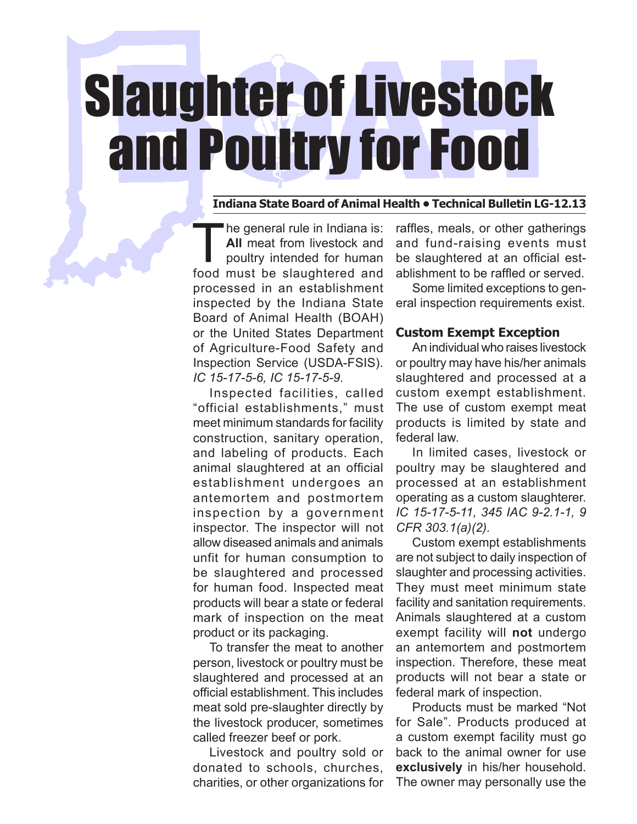# Slaughter of Livestock and Poultry for Food

#### **Indiana State Board of Animal Health • Technical Bulletin LG-12.13**

he general rule in Indiana is: **All** meat from livestock and poultry intended for human food must be slaughtered and processed in an establishment inspected by the Indiana State Board of Animal Health (BOAH) or the United States Department of Agriculture-Food Safety and Inspection Service (USDA-FSIS). *IC 15-17-5-6, IC 15-17-5-9.* 

Inspected facilities, called "official establishments," must meet minimum standards for facility construction, sanitary operation, and labeling of products. Each animal slaughtered at an official establishment undergoes an antemortem and postmortem inspection by a government inspector. The inspector will not allow diseased animals and animals unfit for human consumption to be slaughtered and processed for human food. Inspected meat products will bear a state or federal mark of inspection on the meat product or its packaging.

To transfer the meat to another person, livestock or poultry must be slaughtered and processed at an official establishment. This includes meat sold pre-slaughter directly by the livestock producer, sometimes called freezer beef or pork.

Livestock and poultry sold or donated to schools, churches, charities, or other organizations for

raffles, meals, or other gatherings and fund-raising events must be slaughtered at an official establishment to be raffled or served.

Some limited exceptions to general inspection requirements exist.

# **Custom Exempt Exception**

An individual who raises livestock or poultry may have his/her animals slaughtered and processed at a custom exempt establishment. The use of custom exempt meat products is limited by state and federal law.

In limited cases, livestock or poultry may be slaughtered and processed at an establishment operating as a custom slaughterer. *IC 15-17-5-11, 345 IAC 9-2.1-1, 9 CFR 303.1(a)(2).*

Custom exempt establishments are not subject to daily inspection of slaughter and processing activities. They must meet minimum state facility and sanitation requirements. Animals slaughtered at a custom exempt facility will **not** undergo an antemortem and postmortem inspection. Therefore, these meat products will not bear a state or federal mark of inspection.

Products must be marked "Not for Sale". Products produced at a custom exempt facility must go back to the animal owner for use **exclusively** in his/her household. The owner may personally use the